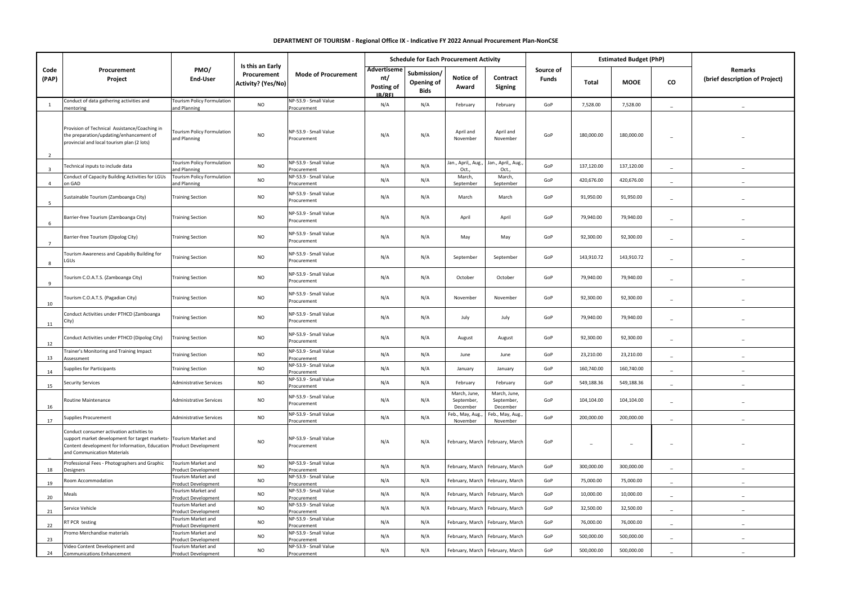## **DEPARTMENT OF TOURISM - Regional Office IX - Indicative FY 2022 Annual Procurement Plan-NonCSE**

| Code<br>(PAP)           | Procurement<br>Project                                                                                                                                                                                              | PMO/<br><b>End-User</b>                           | Is this an Early<br>Procurement<br>Activity? (Yes/No) | <b>Mode of Procurement</b>           | <b>Schedule for Each Procurement Activity</b> |                                          |                                        |                                        |                    | <b>Estimated Budget (PhP)</b> |             |                          |                                           |
|-------------------------|---------------------------------------------------------------------------------------------------------------------------------------------------------------------------------------------------------------------|---------------------------------------------------|-------------------------------------------------------|--------------------------------------|-----------------------------------------------|------------------------------------------|----------------------------------------|----------------------------------------|--------------------|-------------------------------|-------------|--------------------------|-------------------------------------------|
|                         |                                                                                                                                                                                                                     |                                                   |                                                       |                                      | Advertiseme<br>nt/<br>Posting of<br>IB/REI    | Submission/<br>Opening of<br><b>Bids</b> | Notice of<br>Award                     | Contract<br>Signing                    | Source of<br>Funds | Total                         | <b>MOOE</b> | co                       | Remarks<br>(brief description of Project) |
| $\mathbf{1}$            | Conduct of data gathering activities and<br>nentoring                                                                                                                                                               | <b>Tourism Policy Formulation</b><br>and Planning | <b>NO</b>                                             | NP-53.9 - Small Value<br>Procurement | N/A                                           | N/A                                      | February                               | February                               | GoP                | 7,528.00                      | 7,528.00    |                          |                                           |
| <sup>2</sup>            | Provision of Technical Assistance/Coaching in<br>the preparation/updating/enhancement of<br>provincial and local tourism plan (2 lots)                                                                              | Tourism Policy Formulation<br>and Planning        | <b>NO</b>                                             | NP-53.9 - Small Value<br>Procurement | N/A                                           | N/A                                      | April and<br>November                  | April and<br>November                  | GoP                | 180,000.00                    | 180,000.00  |                          |                                           |
| $\overline{\mathbf{z}}$ | Fechnical inputs to include data                                                                                                                                                                                    | <b>Tourism Policy Formulation</b><br>and Planning | <b>NO</b>                                             | NP-53.9 - Small Value<br>rocurement  | N/A                                           | N/A                                      | Jan., April,, Aug.,<br>Oct.            | Jan., April,, Aug.<br>Oct.             | GoP                | 137,120.00                    | 137,120.00  |                          |                                           |
| $\overline{a}$          | Conduct of Capacity Building Activities for LGUs<br>on GAD                                                                                                                                                          | <b>Tourism Policy Formulation</b><br>and Planning | <b>NO</b>                                             | NP-53.9 - Small Value<br>rocurement  | N/A                                           | N/A                                      | March,<br>September                    | March,<br>September                    | GoP                | 420,676.00                    | 420,676.00  |                          |                                           |
| 5                       | Sustainable Tourism (Zamboanga City)                                                                                                                                                                                | <b>Training Section</b>                           | <b>NO</b>                                             | NP-53.9 - Small Value<br>Procurement | N/A                                           | N/A                                      | March                                  | March                                  | GoP                | 91,950.00                     | 91,950.00   | $\overline{\phantom{a}}$ |                                           |
| 6                       | Barrier-free Tourism (Zamboanga City)                                                                                                                                                                               | <b>Training Section</b>                           | <b>NO</b>                                             | NP-53.9 - Small Value<br>rocurement  | N/A                                           | N/A                                      | April                                  | April                                  | GoP                | 79,940.00                     | 79,940.00   | $\overline{\phantom{a}}$ |                                           |
| $\overline{7}$          | Barrier-free Tourism (Dipolog City)                                                                                                                                                                                 | <b>Training Section</b>                           | <b>NO</b>                                             | NP-53.9 - Small Value<br>rocurement  | N/A                                           | N/A                                      | May                                    | May                                    | GoP                | 92,300.00                     | 92,300.00   |                          |                                           |
| $\mathbf{R}$            | <b>Fourism Awareness and Capabiliy Building for</b><br>.GUs                                                                                                                                                         | <b>Training Section</b>                           | <b>NO</b>                                             | NP-53.9 - Small Value<br>rocurement  | N/A                                           | N/A                                      | September                              | September                              | GoP                | 143,910.72                    | 143,910.72  |                          |                                           |
| 9                       | Tourism C.O.A.T.S. (Zamboanga City)                                                                                                                                                                                 | <b>Training Section</b>                           | <b>NO</b>                                             | NP-53.9 - Small Value<br>Procurement | N/A                                           | N/A                                      | October                                | October                                | GoP                | 79,940.00                     | 79,940.00   | $\overline{\phantom{a}}$ |                                           |
| 10                      | Fourism C.O.A.T.S. (Pagadian City)                                                                                                                                                                                  | <b>Training Section</b>                           | <b>NO</b>                                             | NP-53.9 - Small Value<br>rocurement  | N/A                                           | N/A                                      | November                               | November                               | GoP                | 92,300.00                     | 92,300.00   | $\overline{\phantom{a}}$ |                                           |
| 11                      | Conduct Activities under PTHCD (Zamboanga<br>City)                                                                                                                                                                  | <b>Training Section</b>                           | <b>NO</b>                                             | NP-53.9 - Small Value<br>Procurement | N/A                                           | N/A                                      | July                                   | July                                   | GoP                | 79,940.00                     | 79,940.00   | $\overline{\phantom{a}}$ |                                           |
| 12                      | Conduct Activities under PTHCD (Dipolog City)                                                                                                                                                                       | <b>Training Section</b>                           | <b>NO</b>                                             | NP-53.9 - Small Value<br>Procurement | N/A                                           | N/A                                      | August                                 | August                                 | GoP                | 92,300.00                     | 92,300.00   | $\overline{\phantom{a}}$ |                                           |
| 13                      | <b>Frainer's Monitoring and Training Impact</b><br>Assessment                                                                                                                                                       | <b>Training Section</b>                           | <b>NO</b>                                             | NP-53.9 - Small Value<br>Procurement | N/A                                           | N/A                                      | June                                   | June                                   | GoP                | 23,210.00                     | 23,210.00   |                          |                                           |
| 14                      | upplies for Participants                                                                                                                                                                                            | <b>Training Section</b>                           | <b>NO</b>                                             | NP-53.9 - Small Value<br>rocurement  | N/A                                           | N/A                                      | January                                | January                                | GoP                | 160,740.00                    | 160,740.00  |                          |                                           |
| 15                      | Security Services                                                                                                                                                                                                   | Administrative Services                           | <b>NO</b>                                             | NP-53.9 - Small Value<br>Procurement | N/A                                           | N/A                                      | February                               | February                               | GoP                | 549,188.36                    | 549,188.36  |                          |                                           |
| 16                      | Routine Maintenance                                                                                                                                                                                                 | <b>Administrative Services</b>                    | <b>NO</b>                                             | VP-53.9 - Small Value<br>Procurement | N/A                                           | N/A                                      | March, June,<br>September,<br>December | March, June,<br>September,<br>December | GoP                | 104,104.00                    | 104,104.00  | $\overline{\phantom{a}}$ |                                           |
| 17                      | Supplies Procurement                                                                                                                                                                                                | <b>Administrative Services</b>                    | <b>NO</b>                                             | NP-53.9 - Small Value<br>rocurement  | N/A                                           | N/A                                      | Feb., May, Aug.,<br>November           | Feb., May, Aug.<br>November            | GoP                | 200,000.00                    | 200,000.00  |                          |                                           |
|                         | Conduct consumer activation activities to<br>support market development for target markets- Tourism Market and<br>Content development for Information, Education Product Development<br>and Communication Materials |                                                   | <b>NO</b>                                             | NP-53.9 - Small Value<br>Procurement | N/A                                           | N/A                                      |                                        | February, March February, March        | GoP                |                               |             |                          |                                           |
| 18                      | Professional Fees - Photographers and Graphic<br>Designers                                                                                                                                                          | Tourism Market and<br>Product Development         | NO                                                    | NP-53.9 - Small Value<br>rocurement  | N/A                                           | N/A                                      | February, March                        | February, March                        | GoP                | 300,000.00                    | 300,000.00  | $\sim$                   |                                           |
| 19                      | Room Accommodation                                                                                                                                                                                                  | Tourism Market and<br>Product Development         | <b>NO</b>                                             | NP-53.9 - Small Value<br>rocurement  | N/A                                           | N/A                                      | February, March                        | February, March                        | GoP                | 75,000.00                     | 75,000.00   | $\overline{\phantom{a}}$ |                                           |
| 20                      | Meals                                                                                                                                                                                                               | Tourism Market and<br>Product Development         | <b>NO</b>                                             | NP-53.9 - Small Value<br>rocurement  | N/A                                           | N/A                                      | February, March                        | February, March                        | GoP                | 10,000.00                     | 10,000.00   | $\overline{\phantom{a}}$ |                                           |
| 21                      | Service Vehicle                                                                                                                                                                                                     | Tourism Market and<br><b>Product Development</b>  | <b>NO</b>                                             | VP-53.9 - Small Value<br>rocurement  | N/A                                           | N/A                                      | February, March                        | February, March                        | GoP                | 32,500.00                     | 32,500.00   | $\overline{\phantom{a}}$ |                                           |
| 22                      | RT PCR testing                                                                                                                                                                                                      | Tourism Market and<br>Product Development         | <b>NO</b>                                             | NP-53.9 - Small Value<br>rocurement  | N/A                                           | N/A                                      | February, March                        | February, March                        | GoP                | 76,000.00                     | 76,000.00   |                          |                                           |
| 23                      | romo Merchandise materials                                                                                                                                                                                          | Tourism Market and<br>Product Development         | <b>NO</b>                                             | NP-53.9 - Small Value<br>Procurement | N/A                                           | N/A                                      | February, March                        | February, March                        | GoP                | 500,000.00                    | 500,000.00  |                          |                                           |
| 24                      | Video Content Development and<br>Communications Enhancement                                                                                                                                                         | Tourism Market and<br>Product Development         | <b>NO</b>                                             | NP-53.9 - Small Value<br>Procurement | N/A                                           | N/A                                      |                                        | February, March February, March        | GoP                | 500,000.00                    | 500,000.00  |                          |                                           |